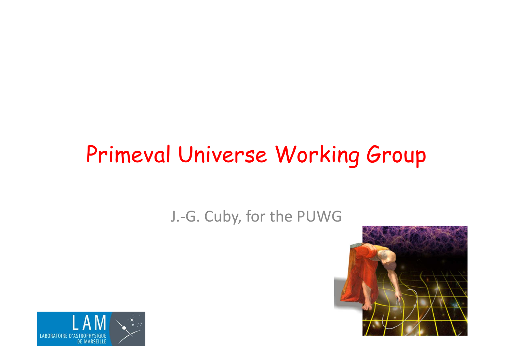#### Primeval Universe Working Group

#### J.-G. Cuby, for the PUWG



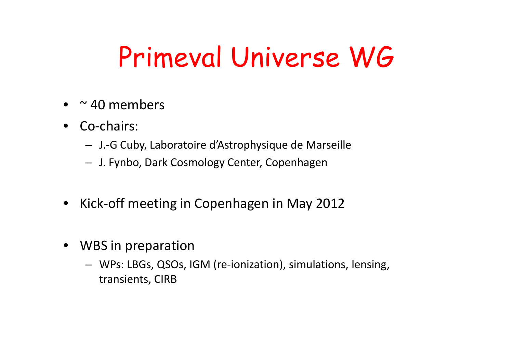## Primeval Universe WG

- • $\sim$  40 members
- Co-chairs:
	- J.-G Cuby, Laboratoire d'Astrophysique de Marseille
	- J. Fynbo, Dark Cosmology Center, Copenhagen
- $\bullet$ Kick-off meeting in Copenhagen in May 2012
- WBS in preparation
	- WPs: LBGs, QSOs, IGM (re-ionization), simulations, lensing, transients, CIRB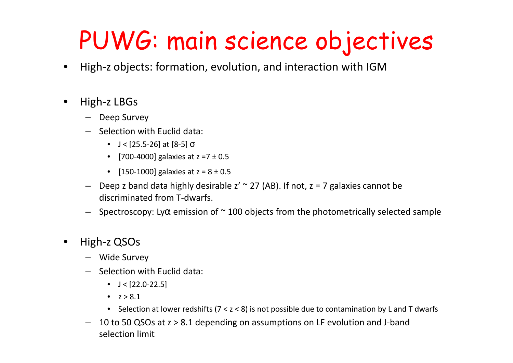### PUWG: main science objectives

- $\bullet$ High-z objects: formation, evolution, and interaction with IGM
- $\bullet$  High-z LBGs
	- Deep Survey
	- Selection with Euclid data:
		- $J < [25.5-26]$  at  $[8-5]$   $\sigma$
		- [700-4000] galaxies at  $z = 7 \pm 0.5$
		- [150-1000] galaxies at  $z = 8 \pm 0.5$
	- $-$  Deep z band data highly desirable z'  $\sim$  27 (AB). If not, z = 7 galaxies cannot be discriminated from T-dwarfs.
	- $-$  Spectroscopy: Ly $\alpha$  emission of  $\sim$  100 objects from the photometrically selected sample
- $\bullet$  High-z QSOs
	- Wide Survey
	- Selection with Euclid data:
		- $J < [22.0 22.5]$
		- $z > 8.1$
		- Selection at lower redshifts (7 < z < 8) is not possible due to contamination by L and T dwarfs
	- 10 to 50 QSOs at z > 8.1 depending on assumptions on LF evolution and J-band selection limit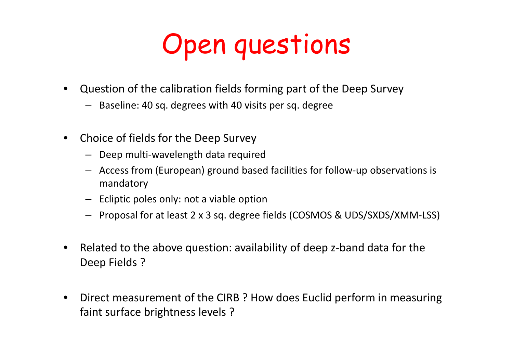## Open questions

- $\bullet$  Question of the calibration fields forming part of the Deep Survey
	- Baseline: 40 sq. degrees with 40 visits per sq. degree
- $\bullet$  Choice of fields for the Deep Survey
	- Deep multi-wavelength data required
	- Access from (European) ground based facilities for follow-up observations is mandatory
	- Ecliptic poles only: not a viable option
	- Proposal for at least 2 x 3 sq. degree fields (COSMOS & UDS/SXDS/XMM-LSS)
- $\bullet$  Related to the above question: availability of deep z-band data for the Deep Fields ?
- $\bullet$  Direct measurement of the CIRB ? How does Euclid perform in measuring faint surface brightness levels ?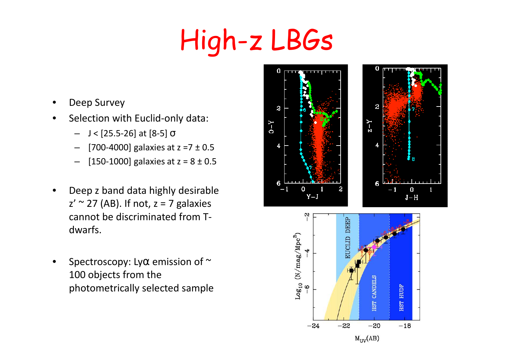# High-z LBGs

- •Deep Survey
- • Selection with Euclid-only data:
	- J < [25.5-26] at [8-5] <sup>σ</sup>
	- [700-4000] galaxies at z =7 ± 0.5 –
	- –[150-1000] galaxies at  $z = 8 \pm 0.5$
- • Deep z band data highly desirable  $z' \sim 27$  (AB). If not,  $z = 7$  galaxies cannot be discriminated from Tdwarfs.
- •Spectroscopy: Ly $\alpha$  emission of  $\sim$ 100 objects from the photometrically selected sample